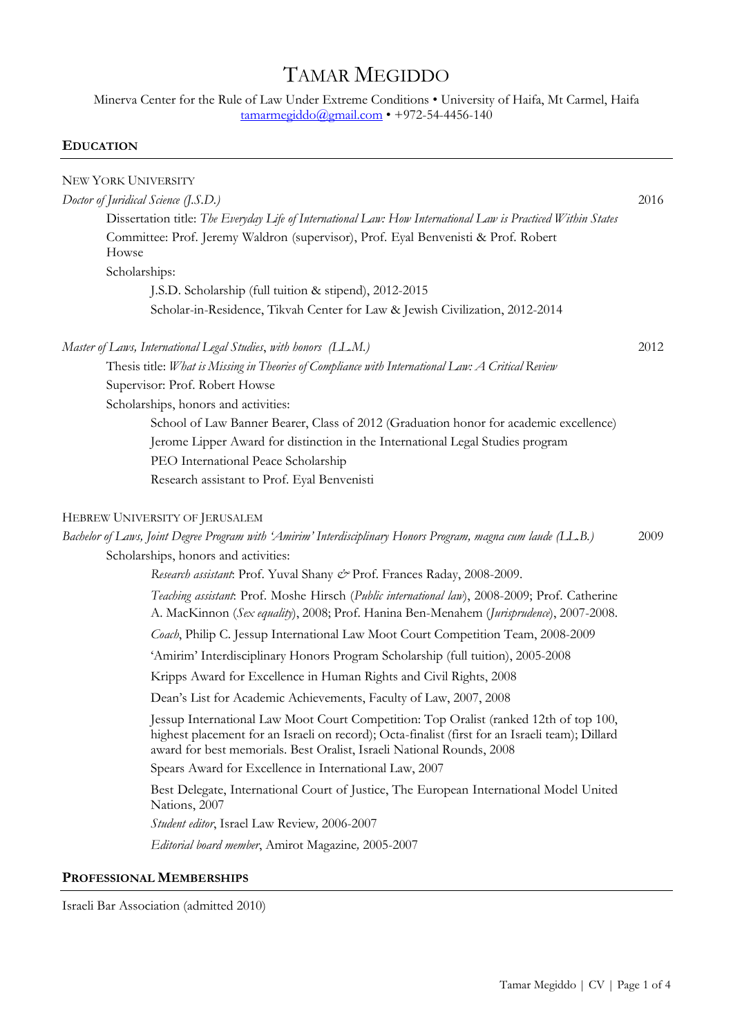# TAMAR MEGIDDO

Minerva Center for the Rule of Law Under Extreme Conditions • University of Haifa, Mt Carmel, Haifa [tamarmegiddo@gmail.com](mailto:tamarmegiddo@gmail.com) • +972-54-4456-140

# **EDUCATION**

| NEW YORK UNIVERSITY                                                                                                                                                                                                                                               |      |  |
|-------------------------------------------------------------------------------------------------------------------------------------------------------------------------------------------------------------------------------------------------------------------|------|--|
| Doctor of Juridical Science (J.S.D.)                                                                                                                                                                                                                              |      |  |
| Dissertation title: The Everyday Life of International Law: How International Law is Practiced Within States                                                                                                                                                      |      |  |
| Committee: Prof. Jeremy Waldron (supervisor), Prof. Eyal Benvenisti & Prof. Robert<br>Howse                                                                                                                                                                       |      |  |
| Scholarships:                                                                                                                                                                                                                                                     |      |  |
| J.S.D. Scholarship (full tuition & stipend), 2012-2015                                                                                                                                                                                                            |      |  |
| Scholar-in-Residence, Tikvah Center for Law & Jewish Civilization, 2012-2014                                                                                                                                                                                      |      |  |
| Master of Laws, International Legal Studies, with honors (LL.M.)                                                                                                                                                                                                  | 2012 |  |
| Thesis title: What is Missing in Theories of Compliance with International Law: A Critical Review                                                                                                                                                                 |      |  |
| Supervisor: Prof. Robert Howse                                                                                                                                                                                                                                    |      |  |
| Scholarships, honors and activities:                                                                                                                                                                                                                              |      |  |
| School of Law Banner Bearer, Class of 2012 (Graduation honor for academic excellence)                                                                                                                                                                             |      |  |
| Jerome Lipper Award for distinction in the International Legal Studies program                                                                                                                                                                                    |      |  |
| PEO International Peace Scholarship                                                                                                                                                                                                                               |      |  |
| Research assistant to Prof. Eyal Benvenisti                                                                                                                                                                                                                       |      |  |
| HEBREW UNIVERSITY OF JERUSALEM                                                                                                                                                                                                                                    |      |  |
| Bachelor of Laws, Joint Degree Program with 'Amirim' Interdisciplinary Honors Program, magna cum laude (LL.B.)                                                                                                                                                    | 2009 |  |
| Scholarships, honors and activities:                                                                                                                                                                                                                              |      |  |
| Research assistant: Prof. Yuval Shany & Prof. Frances Raday, 2008-2009.                                                                                                                                                                                           |      |  |
| Teaching assistant: Prof. Moshe Hirsch (Public international law), 2008-2009; Prof. Catherine<br>A. MacKinnon (Sex equality), 2008; Prof. Hanina Ben-Menahem (Jurisprudence), 2007-2008.                                                                          |      |  |
| Coach, Philip C. Jessup International Law Moot Court Competition Team, 2008-2009                                                                                                                                                                                  |      |  |
| 'Amirim' Interdisciplinary Honors Program Scholarship (full tuition), 2005-2008                                                                                                                                                                                   |      |  |
| Kripps Award for Excellence in Human Rights and Civil Rights, 2008                                                                                                                                                                                                |      |  |
| Dean's List for Academic Achievements, Faculty of Law, 2007, 2008                                                                                                                                                                                                 |      |  |
| Jessup International Law Moot Court Competition: Top Oralist (ranked 12th of top 100,<br>highest placement for an Israeli on record); Octa-finalist (first for an Israeli team); Dillard<br>award for best memorials. Best Oralist, Israeli National Rounds, 2008 |      |  |
| Spears Award for Excellence in International Law, 2007                                                                                                                                                                                                            |      |  |
| Best Delegate, International Court of Justice, The European International Model United<br>Nations, 2007                                                                                                                                                           |      |  |
| Student editor, Israel Law Review, 2006-2007                                                                                                                                                                                                                      |      |  |
| Editorial board member, Amirot Magazine, 2005-2007                                                                                                                                                                                                                |      |  |
| PROFESSIONAL MEMBERSHIPS                                                                                                                                                                                                                                          |      |  |

Israeli Bar Association (admitted 2010)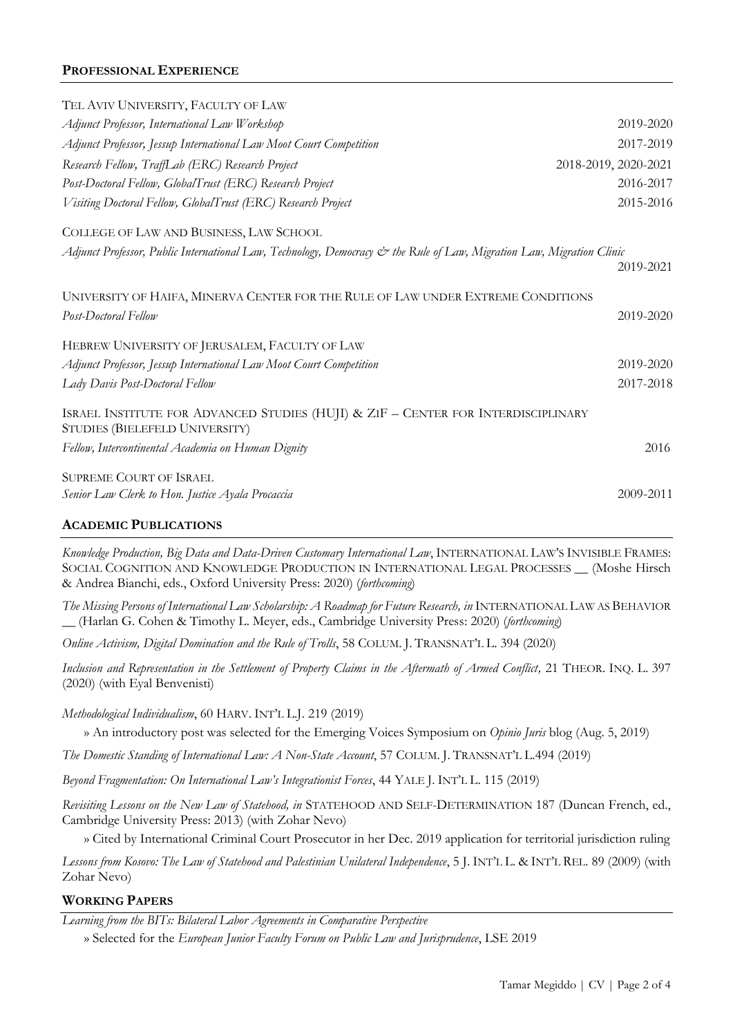# **PROFESSIONAL EXPERIENCE**

| TEL AVIV UNIVERSITY, FACULTY OF LAW                                                                                   |                      |
|-----------------------------------------------------------------------------------------------------------------------|----------------------|
| Adjunct Professor, International Law Workshop                                                                         | 2019-2020            |
| Adjunct Professor, Jessup International Law Moot Court Competition                                                    | 2017-2019            |
| Research Fellow, TraffLab (ERC) Research Project                                                                      | 2018-2019, 2020-2021 |
| Post-Doctoral Fellow, GlobalTrust (ERC) Research Project                                                              | 2016-2017            |
| Visiting Doctoral Fellow, GlobalTrust (ERC) Research Project                                                          | 2015-2016            |
| COLLEGE OF LAW AND BUSINESS, LAW SCHOOL                                                                               |                      |
| Adjunct Professor, Public International Law, Technology, Democracy & the Rule of Law, Migration Law, Migration Clinic | 2019-2021            |
| UNIVERSITY OF HAIFA, MINERVA CENTER FOR THE RULE OF LAW UNDER EXTREME CONDITIONS                                      |                      |
| Post-Doctoral Fellow                                                                                                  | 2019-2020            |
| HEBREW UNIVERSITY OF JERUSALEM, FACULTY OF LAW                                                                        |                      |
| Adjunct Professor, Jessup International Law Moot Court Competition                                                    | 2019-2020            |
| Lady Davis Post-Doctoral Fellow                                                                                       | 2017-2018            |
| ISRAEL INSTITUTE FOR ADVANCED STUDIES (HUJI) & ZIF - CENTER FOR INTERDISCIPLINARY<br>STUDIES (BIELEFELD UNIVERSITY)   |                      |
| Fellow, Intercontinental Academia on Human Dignity                                                                    | 2016                 |
| <b>SUPREME COURT OF ISRAEL</b>                                                                                        |                      |
| Senior Law Clerk to Hon. Justice Ayala Procaccia                                                                      | 2009-2011            |
|                                                                                                                       |                      |

# **ACADEMIC PUBLICATIONS**

*Knowledge Production, Big Data and Data-Driven Customary International Law*, INTERNATIONAL LAW'S INVISIBLE FRAMES: SOCIAL COGNITION AND KNOWLEDGE PRODUCTION IN INTERNATIONAL LEGAL PROCESSES \_\_ (Moshe Hirsch & Andrea Bianchi, eds., Oxford University Press: 2020) (*forthcoming*)

*The Missing Persons of International Law Scholarship: A Roadmap for Future Research, in INTERNATIONAL LAW AS BEHAVIOR* \_\_ (Harlan G. Cohen & Timothy L. Meyer, eds., Cambridge University Press: 2020) (*forthcoming*)

*Online Activism, Digital Domination and the Rule of Trolls*, 58 COLUM. J. TRANSNAT'L L. 394 (2020)

*Inclusion and Representation in the Settlement of Property Claims in the Aftermath of Armed Conflict,* 21 THEOR. INQ. L. 397 (2020) (with Eyal Benvenisti)

*Methodological Individualism*, 60 HARV. INT'L L.J. 219 (2019)

» An introductory post was selected for the Emerging Voices Symposium on *Opinio Juris* blog (Aug. 5, 2019)

*The Domestic Standing of International Law: A Non-State Account*, 57 COLUM. J. TRANSNAT'L L.494 (2019)

*Beyond Fragmentation: On International Law's Integrationist Forces*, 44 YALE J. INT'L L. 115 (2019)

*Revisiting Lessons on the New Law of Statehood, in* STATEHOOD AND SELF-DETERMINATION 187 (Duncan French, ed., Cambridge University Press: 2013) (with Zohar Nevo)

» Cited by International Criminal Court Prosecutor in her Dec. 2019 application for territorial jurisdiction ruling

*Lessons from Kosovo: The Law of Statehood and Palestinian Unilateral Independence*, 5 J. INT'L L. & INT'L REL. 89 (2009) (with Zohar Nevo)

### **WORKING PAPERS**

*Learning from the BITs: Bilateral Labor Agreements in Comparative Perspective*

» Selected for the *European Junior Faculty Forum on Public Law and Jurisprudence*, LSE 2019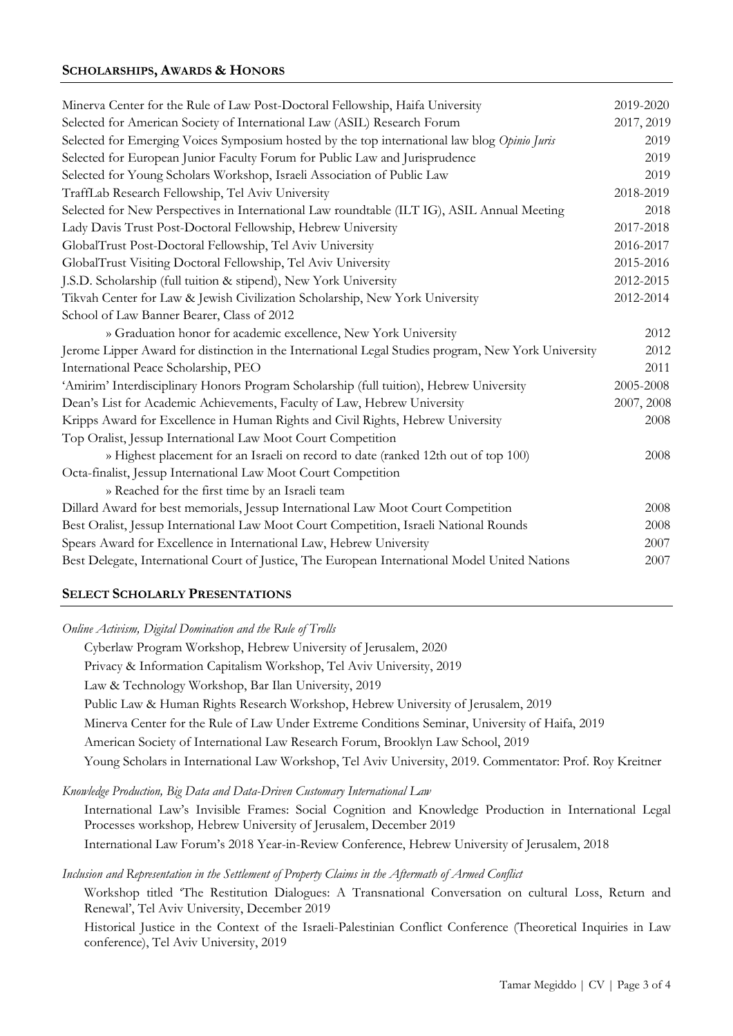# **SCHOLARSHIPS, AWARDS & HONORS**

| Minerva Center for the Rule of Law Post-Doctoral Fellowship, Haifa University                       | 2019-2020  |
|-----------------------------------------------------------------------------------------------------|------------|
| Selected for American Society of International Law (ASIL) Research Forum                            | 2017, 2019 |
| Selected for Emerging Voices Symposium hosted by the top international law blog Opinio Juris        | 2019       |
| Selected for European Junior Faculty Forum for Public Law and Jurisprudence                         | 2019       |
| Selected for Young Scholars Workshop, Israeli Association of Public Law                             | 2019       |
| TraffLab Research Fellowship, Tel Aviv University                                                   | 2018-2019  |
| Selected for New Perspectives in International Law roundtable (ILT IG), ASIL Annual Meeting         | 2018       |
| Lady Davis Trust Post-Doctoral Fellowship, Hebrew University                                        | 2017-2018  |
| GlobalTrust Post-Doctoral Fellowship, Tel Aviv University                                           | 2016-2017  |
| GlobalTrust Visiting Doctoral Fellowship, Tel Aviv University                                       | 2015-2016  |
| J.S.D. Scholarship (full tuition & stipend), New York University                                    | 2012-2015  |
| Tikvah Center for Law & Jewish Civilization Scholarship, New York University                        | 2012-2014  |
| School of Law Banner Bearer, Class of 2012                                                          |            |
| » Graduation honor for academic excellence, New York University                                     | 2012       |
| Jerome Lipper Award for distinction in the International Legal Studies program, New York University | 2012       |
| International Peace Scholarship, PEO                                                                | 2011       |
| 'Amirim' Interdisciplinary Honors Program Scholarship (full tuition), Hebrew University             | 2005-2008  |
| Dean's List for Academic Achievements, Faculty of Law, Hebrew University                            | 2007, 2008 |
| Kripps Award for Excellence in Human Rights and Civil Rights, Hebrew University                     | 2008       |
| Top Oralist, Jessup International Law Moot Court Competition                                        |            |
| » Highest placement for an Israeli on record to date (ranked 12th out of top 100)                   | 2008       |
| Octa-finalist, Jessup International Law Moot Court Competition                                      |            |
| » Reached for the first time by an Israeli team                                                     |            |
| Dillard Award for best memorials, Jessup International Law Moot Court Competition                   | 2008       |
| Best Oralist, Jessup International Law Moot Court Competition, Israeli National Rounds              | 2008       |
| Spears Award for Excellence in International Law, Hebrew University                                 | 2007       |
| Best Delegate, International Court of Justice, The European International Model United Nations      | 2007       |
|                                                                                                     |            |

### **SELECT SCHOLARLY PRESENTATIONS**

*Online Activism, Digital Domination and the Rule of Trolls*

Cyberlaw Program Workshop, Hebrew University of Jerusalem, 2020 Privacy & Information Capitalism Workshop, Tel Aviv University, 2019 Law & Technology Workshop, Bar Ilan University, 2019 Public Law & Human Rights Research Workshop, Hebrew University of Jerusalem, 2019 Minerva Center for the Rule of Law Under Extreme Conditions Seminar, University of Haifa, 2019 American Society of International Law Research Forum, Brooklyn Law School, 2019 Young Scholars in International Law Workshop, Tel Aviv University, 2019. Commentator: Prof. Roy Kreitner

*Knowledge Production, Big Data and Data-Driven Customary International Law*

International Law's Invisible Frames: Social Cognition and Knowledge Production in International Legal Processes workshop*,* Hebrew University of Jerusalem, December 2019 International Law Forum's 2018 Year-in-Review Conference, Hebrew University of Jerusalem, 2018

*Inclusion and Representation in the Settlement of Property Claims in the Aftermath of Armed Conflict* 

Workshop titled 'The Restitution Dialogues: A Transnational Conversation on cultural Loss, Return and Renewal', Tel Aviv University, December 2019

Historical Justice in the Context of the Israeli-Palestinian Conflict Conference (Theoretical Inquiries in Law conference), Tel Aviv University, 2019